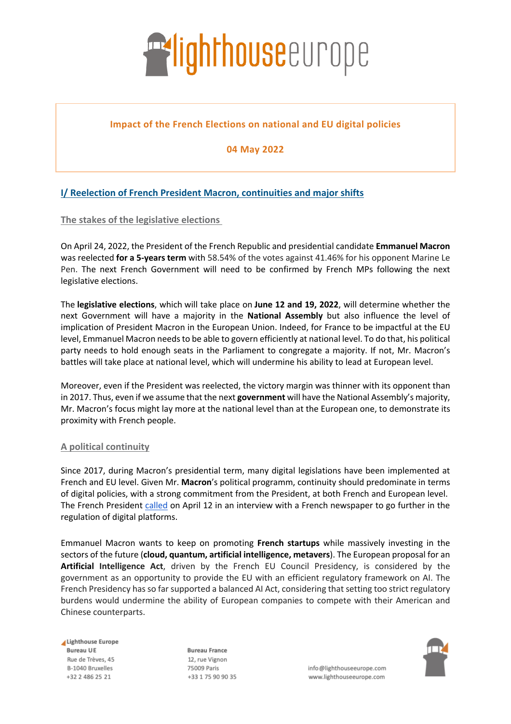

## **Impact of the French Elections on national and EU digital policies**

**04 May 2022**

## **I/ Reelection of French President Macron, continuities and major shifts**

**The stakes of the legislative elections**

On April 24, 2022, the President of the French Republic and presidential candidate **Emmanuel Macron**  was reelected **for a 5-years term** with 58.54% of the votes against 41.46% for his opponent Marine Le Pen. The next French Government will need to be confirmed by French MPs following the next legislative elections.

The **legislative elections**, which will take place on **June 12 and 19, 2022**, will determine whether the next Government will have a majority in the **National Assembly** but also influence the level of implication of President Macron in the European Union. Indeed, for France to be impactful at the EU level, Emmanuel Macron needs to be able to govern efficiently at national level. To do that, his political party needs to hold enough seats in the Parliament to congregate a majority. If not, Mr. Macron's battles will take place at national level, which will undermine his ability to lead at European level.

Moreover, even if the President was reelected, the victory margin was thinner with its opponent than in 2017. Thus, even if we assume that the next **government** will have the National Assembly's majority, Mr. Macron's focus might lay more at the national level than at the European one, to demonstrate its proximity with French people.

### **A political continuity**

Since 2017, during Macron's presidential term, many digital legislations have been implemented at French and EU level. Given Mr. **Macron**'s political programm, continuity should predominate in terms of digital policies, with a strong commitment from the President, at both French and European level. The French President called on April 12 in an interview with a French newspaper to go further in the regulation of digital platforms.

Emmanuel Macron wants to keep on promoting **French startups** while massively investing in the sectors of the future (**cloud, quantum, artificial intelligence, metavers**). The European proposal for an **Artificial Intelligence Act**, driven by the French EU Council Presidency, is considered by the government as an opportunity to provide the EU with an efficient regulatory framework on AI. The French Presidency has so far supported a balanced AI Act, considering that setting too strict regulatory burdens would undermine the ability of European companies to compete with their American and Chinese counterparts.

Lighthouse Europe **Bureau UE** Rue de Trèves, 45 B-1040 Bruxelles +32 2 486 25 21

**Bureau France** 12. rue Vignon 75009 Paris +33 1 75 90 90 35



info@lighthouseeurope.com www.lighthouseeurope.com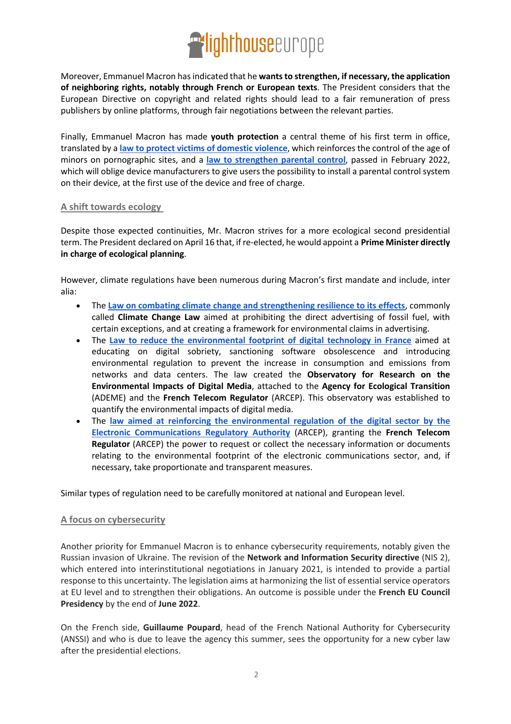# **Exlighthouse**europe

Moreover, Emmanuel Macron has indicated that he **wants to strengthen, if necessary, the application of neighboring rights, notably through French or European texts**. The President considers that the European Directive on copyright and related rights should lead to a fair remuneration of press publishers by online platforms, through fair negotiations between the relevant parties.

Finally, Emmanuel Macron has made **youth protection** a central theme of his first term in office, translated by a **law to protect victims of domestic violence**, which reinforces the control of the age of minors on pornographic sites, and a **law to strengthen parental control**, passed in February 2022, which will oblige device manufacturers to give users the possibility to install a parental control system on their device, at the first use of the device and free of charge.

### **A shift towards ecology**

Despite those expected continuities, Mr. Macron strives for a more ecological second presidential term. The President declared on April 16 that, if re-elected, he would appoint a **Prime Minister directly in charge of ecological planning**.

However, climate regulations have been numerous during Macron's first mandate and include, inter alia:

- The **Law on combating climate change and strengthening resilience to its effects**, commonly called **Climate Change Law** aimed at prohibiting the direct advertising of fossil fuel, with certain exceptions, and at creating a framework for environmental claims in advertising.
- The **Law to reduce the environmental footprint of digital technology in France** aimed at educating on digital sobriety, sanctioning software obsolescence and introducing environmental regulation to prevent the increase in consumption and emissions from networks and data centers. The law created the **Observatory for Research on the Environmental Impacts of Digital Media**, attached to the **Agency for Ecological Transition** (ADEME) and the **French Telecom Regulator** (ARCEP). This observatory was established to quantify the environmental impacts of digital media.
- The **law aimed at reinforcing the environmental regulation of the digital sector by the Electronic Communications Regulatory Authority** (ARCEP), granting the **French Telecom Regulator** (ARCEP) the power to request or collect the necessary information or documents relating to the environmental footprint of the electronic communications sector, and, if necessary, take proportionate and transparent measures.

Similar types of regulation need to be carefully monitored at national and European level.

### **A focus on cybersecurity**

Another priority for Emmanuel Macron is to enhance cybersecurity requirements, notably given the Russian invasion of Ukraine. The revision of the **Network and Information Security directive** (NIS 2), which entered into interinstitutional negotiations in January 2021, is intended to provide a partial response to this uncertainty. The legislation aims at harmonizing the list of essential service operators at EU level and to strengthen their obligations. An outcome is possible under the **French EU Council Presidency** by the end of **June 2022**.

On the French side, **Guillaume Poupard**, head of the French National Authority for Cybersecurity (ANSSI) and who is due to leave the agency this summer, sees the opportunity for a new cyber law after the presidential elections.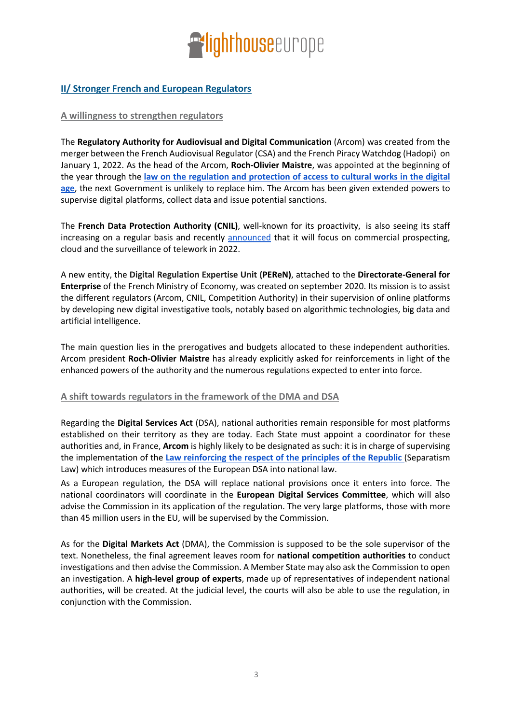

## **II/ Stronger French and European Regulators**

#### **A willingness to strengthen regulators**

The **Regulatory Authority for Audiovisual and Digital Communication** (Arcom) was created from the merger between the French Audiovisual Regulator (CSA) and the French Piracy Watchdog (Hadopi) on January 1, 2022. As the head of the Arcom, **Roch-Olivier Maistre**, was appointed at the beginning of the year through the **law on the regulation and protection of access to cultural works in the digital age**, the next Government is unlikely to replace him. The Arcom has been given extended powers to supervise digital platforms, collect data and issue potential sanctions.

The **French Data Protection Authority (CNIL)**, well-known for its proactivity, is also seeing its staff increasing on a regular basis and recently announced that it will focus on commercial prospecting, cloud and the surveillance of telework in 2022.

A new entity, the **Digital Regulation Expertise Unit (PEReN)**, attached to the **Directorate-General for Enterprise** of the French Ministry of Economy, was created on september 2020. Its mission is to assist the different regulators (Arcom, CNIL, Competition Authority) in their supervision of online platforms by developing new digital investigative tools, notably based on algorithmic technologies, big data and artificial intelligence.

The main question lies in the prerogatives and budgets allocated to these independent authorities. Arcom president **Roch-Olivier Maistre** has already explicitly asked for reinforcements in light of the enhanced powers of the authority and the numerous regulations expected to enter into force.

#### **A shift towards regulators in the framework of the DMA and DSA**

Regarding the **Digital Services Act** (DSA), national authorities remain responsible for most platforms established on their territory as they are today. Each State must appoint a coordinator for these authorities and, in France, **Arcom** is highly likely to be designated as such: it is in charge of supervising the implementation of the **Law reinforcing the respect of the principles of the Republic** (Separatism Law) which introduces measures of the European DSA into national law.

As a European regulation, the DSA will replace national provisions once it enters into force. The national coordinators will coordinate in the **European Digital Services Committee**, which will also advise the Commission in its application of the regulation. The very large platforms, those with more than 45 million users in the EU, will be supervised by the Commission.

As for the **Digital Markets Act** (DMA), the Commission is supposed to be the sole supervisor of the text. Nonetheless, the final agreement leaves room for **national competition authorities** to conduct investigations and then advise the Commission. A Member State may also ask the Commission to open an investigation. A **high-level group of experts**, made up of representatives of independent national authorities, will be created. At the judicial level, the courts will also be able to use the regulation, in conjunction with the Commission.